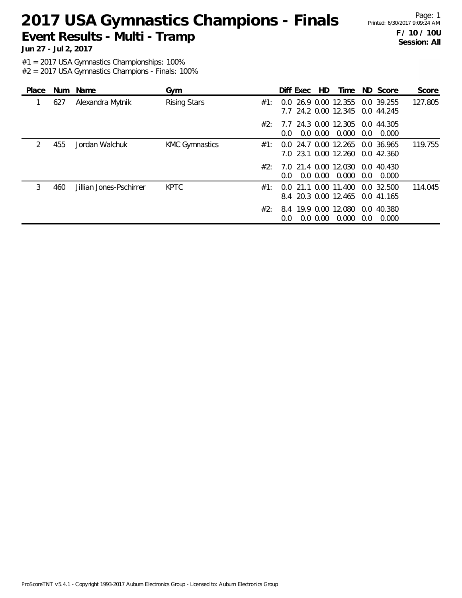Page: 1 **F / 10 / 10U Session: All**

**Jun 27 - Jul 2, 2017**

#1 = 2017 USA Gymnastics Championships: 100%

| Place         |     | Num Name                | Gym                   |     | Diff Exec                                               | HD.         | Time  |               | ND Score                 | Score   |
|---------------|-----|-------------------------|-----------------------|-----|---------------------------------------------------------|-------------|-------|---------------|--------------------------|---------|
|               | 627 | Alexandra Mytnik        | <b>Rising Stars</b>   | #1: | 0.0 26.9 0.00 12.355<br>7.7 24.2 0.00 12.345            |             |       |               | 0.0 39.255<br>0.0 44.245 | 127.805 |
|               |     |                         |                       | #2: | 7.7 24.3 0.00 12.305<br>$0.0^{\circ}$                   | $0.0\,0.00$ | 0.000 | $0.0^{\circ}$ | 0.0 44.305<br>0.000      |         |
| $\mathcal{P}$ | 455 | Jordan Walchuk          | <b>KMC Gymnastics</b> | #1: | 0.0 24.7 0.00 12.265<br>7.0 23.1 0.00 12.260 0.0 42.360 |             |       |               | 0.0 36.965               | 119.755 |
|               |     |                         |                       | #2: | 7.0 21.4 0.00 12.030 0.0 40.430<br>0.0                  | $0.0\,0.00$ | 0.000 | $0.0^{\circ}$ | 0.000                    |         |
| 3             | 460 | Jillian Jones-Pschirrer | <b>KPTC</b>           | #1: | 0.0 21.1 0.00 11.400<br>8.4 20.3 0.00 12.465 0.0 41.165 |             |       |               | 0.0, 32.500              | 114.045 |
|               |     |                         |                       | #2: | 8.4 19.9 0.00 12.080<br>0.0                             | $0.0\,0.00$ | 0.000 | $0.0^{\circ}$ | 0.0 40.380<br>0.000      |         |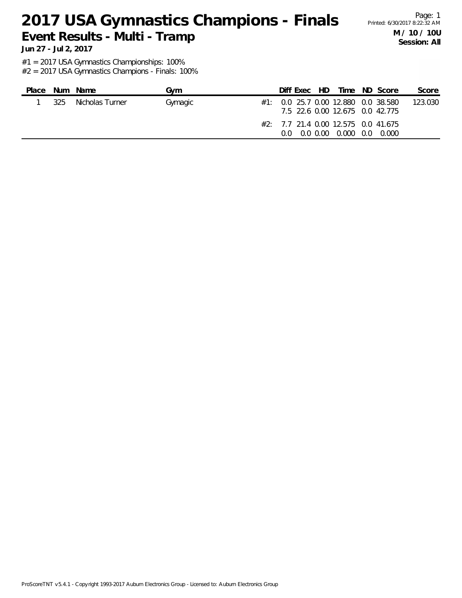Page: 1 **M / 10 / 10U Session: All**

**Jun 27 - Jul 2, 2017**

#1 = 2017 USA Gymnastics Championships: 100%

| Place |     | Num Name        | Gvm     |      | Diff Exec HD |                                                               | Time ND Score                           | Score   |
|-------|-----|-----------------|---------|------|--------------|---------------------------------------------------------------|-----------------------------------------|---------|
|       | 325 | Nicholas Turner | Gymagic |      |              | 7.5 22.6 0.00 12.675 0.0 42.775                               | $\#1$ : 0.0 25.7 0.00 12.880 0.0 38.580 | 123.030 |
|       |     |                 |         | 0 Q. |              | $\#2$ : 7.7 21.4 0.00 12.575 0.0 41.675<br>0.0 0.00 0.000 0.0 | 0.000                                   |         |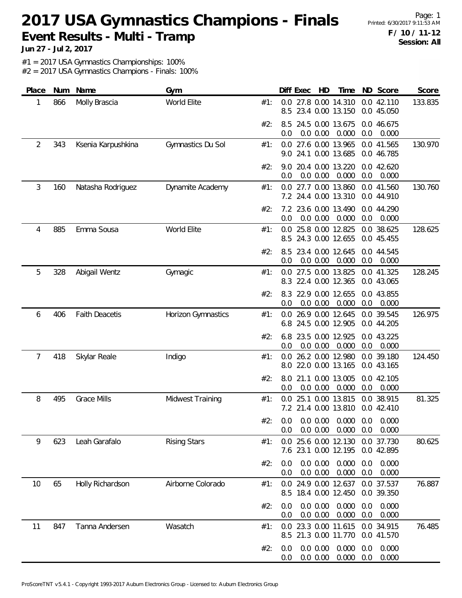Page: 1 **F / 10 / 11-12 Session: All**

**Jun 27 - Jul 2, 2017**

#1 = 2017 USA Gymnastics Championships: 100%

| Place | Num | Name                  | Gym                 |     | Diff Exec<br>ND Score<br>Score<br>HD<br>Time                                                        |
|-------|-----|-----------------------|---------------------|-----|-----------------------------------------------------------------------------------------------------|
| 1     | 866 | Molly Brascia         | World Elite         | #1: | 27.8 0.00 14.310<br>133.835<br>0.0<br>0.0 42.110<br>23.4 0.00 13.150<br>8.5<br>0.0 45.050           |
|       |     |                       |                     | #2: | 24.5 0.00 13.675<br>0.0 46.675<br>8.5<br>0.0 0.00<br>0.000<br>0.0<br>0.0<br>0.000                   |
| 2     | 343 | Ksenia Karpushkina    | Gymnastics Du Sol   | #1: | 27.6 0.00 13.965<br>0.0 41.565<br>130.970<br>0.0<br>24.1 0.00 13.685<br>0.0 46.785<br>9.0           |
|       |     |                       |                     | #2: | 20.4 0.00 13.220<br>0.0 42.620<br>9.0<br>0.0 0.00<br>0.000<br>0.0<br>0.000<br>0.0                   |
| 3     | 160 | Natasha Rodriguez     | Dynamite Academy    | #1: | 130.760<br>0.0 27.7 0.00 13.860<br>0.0 41.560<br>7.2 24.4 0.00 13.310<br>0.0 44.910                 |
|       |     |                       |                     | #2: | 23.6 0.00 13.490<br>0.0 44.290<br>7.2<br>0.0 0.00<br>0.000<br>0.0<br>0.000<br>0.0                   |
| 4     | 885 | Emma Sousa            | World Elite         | #1: | 25.8 0.00 12.825<br>0.0 38.625<br>128.625<br>0.0<br>24.3 0.00 12.655<br>0.0 45.455<br>8.5           |
|       |     |                       |                     | #2: | 23.4 0.00 12.645<br>0.0 44.545<br>8.5<br>0.000<br>0.0 0.00<br>0.0<br>0.000<br>0.0                   |
| 5     | 328 | Abigail Wentz         | Gymagic             | #1: | 27.5 0.00 13.825<br>0.0 41.325<br>128.245<br>$0.0^{\circ}$<br>22.4 0.00 12.365<br>0.0 43.065<br>8.3 |
|       |     |                       |                     | #2: | 22.9 0.00 12.655<br>0.0 43.855<br>8.3<br>0.000<br>0.0<br>0.0 0.00<br>0.0<br>0.000                   |
| 6     | 406 | <b>Faith Deacetis</b> | Horizon Gymnastics  | #1: | 126.975<br>26.9 0.00 12.645<br>0.0 39.545<br>0.0<br>24.5 0.00 12.905<br>6.8<br>0.0 44.205           |
|       |     |                       |                     | #2: | 6.8<br>23.5 0.00 12.925<br>0.0 43.225<br>0.000<br>0.0 0.00<br>0.0<br>0.000<br>0.0                   |
| 7     | 418 | Skylar Reale          | Indigo              | #1: | 124.450<br>26.2 0.00 12.980<br>0.0 39.180<br>0.0<br>22.0 0.00 13.165<br>0.0 43.165<br>8.0           |
|       |     |                       |                     | #2: | 21.1 0.00 13.005<br>0.0 42.105<br>8.0<br>0.000<br>0.0 0.00<br>0.0<br>0.000<br>0.0                   |
| 8     | 495 | <b>Grace Mills</b>    | Midwest Training    | #1: | 25.1 0.00 13.815<br>0.0 38.915<br>81.325<br>0.0<br>7.2 21.4 0.00 13.810<br>0.0 42.410               |
|       |     |                       |                     | #2: | $0.0$ 0.0 0.00 0.000 0.0 0.000<br>$0.0$ $0.00$ $0.000$ $0.0$<br>0.000<br>0.0                        |
| 9     | 623 | Leah Garafalo         | <b>Rising Stars</b> | #1: | 0.0 25.6 0.00 12.130<br>0.0 37.730<br>80.625<br>7.6 23.1 0.00 12.195<br>0.0 42.895                  |
|       |     |                       |                     | #2: | 0.0 0.00<br>0.000<br>0.000<br>0.0<br>0.0<br>0.0 0.00<br>0.000<br>0.000<br>0.0<br>0.0                |
| 10    | 65  | Holly Richardson      | Airborne Colorado   | #1: | 76.887<br>0.0 24.9 0.00 12.637<br>0.0 37.537<br>18.4 0.00 12.450<br>8.5<br>0.0 39.350               |
|       |     |                       |                     | #2: | 0.0 0.00<br>0.000<br>0.000<br>0.0<br>0.0<br>0.0 0.00<br>0.000<br>0.000<br>0.0<br>0.0                |
| 11    | 847 | Tanna Andersen        | Wasatch             | #1: | 23.3 0.00 11.615<br>76.485<br>0.0 34.915<br>0.0<br>8.5 21.3 0.00 11.770<br>0.0 41.570               |
|       |     |                       |                     | #2: | 0.0 0.00<br>0.000<br>0.000<br>0.0<br>0.0<br>0.000<br>0.0 0.00<br>0.0<br>0.000<br>0.0                |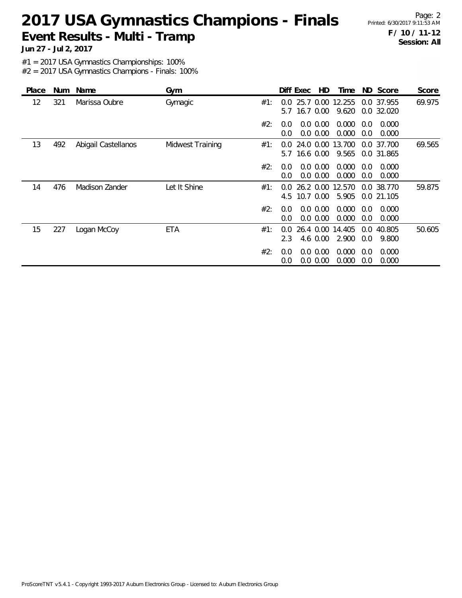Page: 2 **F / 10 / 11-12 Session: All**

**Jun 27 - Jul 2, 2017**

#1 = 2017 USA Gymnastics Championships: 100%

| Place | Num | Name                | Gym              |     | Diff Exec            |           | HD.                        | Time            |                      | ND Score                 | Score  |
|-------|-----|---------------------|------------------|-----|----------------------|-----------|----------------------------|-----------------|----------------------|--------------------------|--------|
| 12    | 321 | Marissa Oubre       | Gymagic          | #1: | $0.0^-$<br>5.7       |           | 25.7 0.00<br>16.7 0.00     | 12.255<br>9.620 |                      | 0.0 37.955<br>0.0 32.020 | 69.975 |
|       |     |                     |                  | #2: | 0.0<br>0.0           |           | $0.0\,0.00$<br>0.0 0.00    | 0.000<br>0.000  | 0.0<br>0.0           | 0.000<br>0.000           |        |
| 13    | 492 | Abigail Castellanos | Midwest Training | #1: | 0.0<br>5.7           | 16.6 0.00 | 24.0 0.00                  | 13.700<br>9.565 |                      | 0.0 37.700<br>0.0 31.865 | 69.565 |
|       |     |                     |                  | #2: | 0.0<br>0.0           |           | $0.0\,0.00$<br>0.0 0.00    | 0.000<br>0.000  | 0.0<br>0.0           | 0.000<br>0.000           |        |
| 14    | 476 | Madison Zander      | Let It Shine     | #1: | $0.0^-$<br>4.5       | 10.7 0.00 | 26.2 0.00                  | 12.570<br>5.905 | $0.0^{\circ}$        | 38.770<br>0.0 21.105     | 59.875 |
|       |     |                     |                  | #2: | $0.0^{\circ}$<br>0.0 |           | $0.0\,0.00$<br>0.0 0.00    | 0.000<br>0.000  | 0.0<br>0.0           | 0.000<br>0.000           |        |
| 15    | 227 | Logan McCoy         | ETA              | #1: | $0.0^{\circ}$<br>2.3 |           | 26.4 0.00<br>4.6 0.00      | 14.405<br>2.900 | $0.0^{\circ}$<br>0.0 | 40.805<br>9.800          | 50.605 |
|       |     |                     |                  | #2: | 0.0<br>0.0           |           | $0.0\,0.00$<br>$0.0\ 0.00$ | 0.000<br>0.000  | 0.0<br>0.0           | 0.000<br>0.000           |        |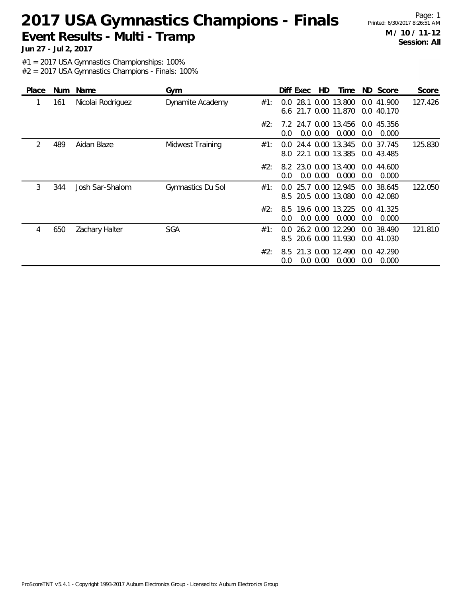Page: 1 **M / 10 / 11-12 Session: All**

**Jun 27 - Jul 2, 2017**

#1 = 2017 USA Gymnastics Championships: 100%

| Place | Num | Name              | Gym               |     | Diff Exec                              | HD          | Time                       |                      | ND Score                 | Score   |
|-------|-----|-------------------|-------------------|-----|----------------------------------------|-------------|----------------------------|----------------------|--------------------------|---------|
|       | 161 | Nicolai Rodriguez | Dynamite Academy  | #1: | $0.0^{\circ}$<br>6.6 21.7 0.00 11.870  | 28.1 0.00   | 13.800                     | 0.0                  | 41.900<br>0.0 40.170     | 127.426 |
|       |     |                   |                   | #2: | 7.2 24.7 0.00 13.456 0.0 45.356<br>0.0 | $0.0\,0.00$ | 0.000                      | 0.0                  | 0.000                    |         |
| 2     | 489 | Aidan Blaze       | Midwest Training  | #1: | $0.0^-$<br>8.0 22.1 0.00 13.385        |             | 24.4 0.00 13.345           |                      | 0.0 37.745<br>0.0 43.485 | 125.830 |
|       |     |                   |                   | #2: | 8.2 23.0 0.00 13.400<br>0.0            | $0.0\,0.00$ | 0.000                      | 0.0                  | 0.044.600<br>0.000       |         |
| 3     | 344 | Josh Sar-Shalom   | Gymnastics Du Sol | #1: | $0.0^-$<br>8.5                         | 25.7 0.00   | 12.945<br>20.5 0.00 13.080 |                      | 0.0 38.645<br>0.0 42.080 | 122.050 |
|       |     |                   |                   | #2: | 8.5<br>0.0                             | $0.0\,0.00$ | 19.6 0.00 13.225<br>0.000  | 0.0                  | 0.0 41.325<br>0.000      |         |
| 4     | 650 | Zachary Halter    | <b>SGA</b>        | #1: | $0.0^-$<br>8.5 20.6 0.00 11.930        |             | 26.2 0.00 12.290           |                      | 0.0 38.490<br>0.0 41.030 | 121.810 |
|       |     |                   |                   | #2: | 8.5<br>0.0                             | $0.0\,0.00$ | 21.3 0.00 12.490<br>0.000  | $0.0^{\circ}$<br>0.0 | 42.290<br>0.000          |         |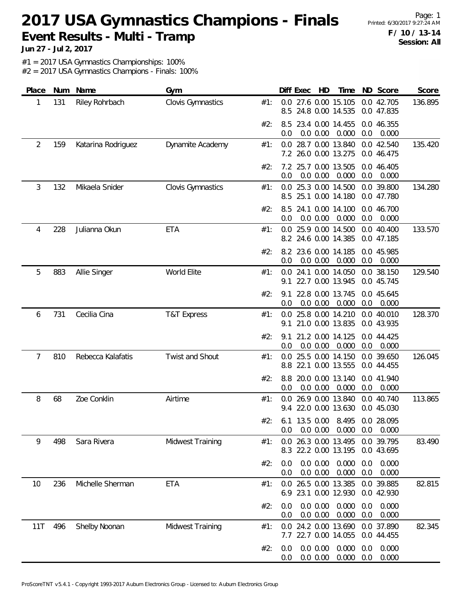Page: 1 **F / 10 / 13-14 Session: All**

**Jun 27 - Jul 2, 2017**

#1 = 2017 USA Gymnastics Championships: 100%

| Place | Num | Name               | Gym                      |     | HD<br>ND Score<br>Diff Exec<br>Time                                                   | Score   |
|-------|-----|--------------------|--------------------------|-----|---------------------------------------------------------------------------------------|---------|
| 1     | 131 | Riley Rohrbach     | Clovis Gymnastics        | #1: | 27.6 0.00 15.105<br>0.0 42.705<br>0.0<br>24.8 0.00 14.535<br>8.5<br>0.0 47.835        | 136.895 |
|       |     |                    |                          | #2: | 23.4 0.00 14.455<br>0.0 46.355<br>8.5<br>0.0<br>$0.0\ 0.00$<br>0.000<br>0.0<br>0.000  |         |
| 2     | 159 | Katarina Rodriguez | Dynamite Academy         | #1: | 0.0 28.7 0.00 13.840<br>0.0 42.540<br>7.2 26.0 0.00 13.275<br>0.0 46.475              | 135.420 |
|       |     |                    |                          | #2: | 7.2 25.7 0.00 13.505<br>0.0 46.405<br>0.0<br>0.0 0.00<br>0.000<br>0.0<br>0.000        |         |
| 3     | 132 | Mikaela Snider     | <b>Clovis Gymnastics</b> | #1: | 25.3 0.00 14.500<br>0.0 39.800<br>0.0<br>25.1 0.00 14.180<br>0.0 47.780<br>8.5        | 134.280 |
|       |     |                    |                          | #2: | 24.1 0.00 14.100<br>0.0 46.700<br>8.5<br>0.0 0.00<br>0.000<br>0.0<br>0.000<br>0.0     |         |
| 4     | 228 | Julianna Okun      | <b>ETA</b>               | #1: | 25.9 0.00 14.500<br>0.0 40.400<br>0.0<br>8.2 24.6 0.00 14.385<br>0.0 47.185           | 133.570 |
|       |     |                    |                          | #2: | 0.0 45.985<br>8.2 23.6 0.00 14.185<br>0.0 0.00<br>0.000<br>0.000<br>0.0<br>0.0        |         |
| 5     | 883 | Allie Singer       | World Elite              | #1: | 24.1 0.00 14.050<br>0.0 38.150<br>0.0<br>22.7 0.00 13.945<br>0.0 45.745<br>9.1        | 129.540 |
|       |     |                    |                          | #2: | 22.8 0.00 13.745<br>0.0 45.645<br>9.1<br>0.0<br>0.0 0.00<br>0.000<br>0.0<br>0.000     |         |
| 6     | 731 | Cecilia Cina       | <b>T&amp;T Express</b>   | #1: | 0.0 25.8 0.00 14.210<br>0.0 40.010<br>21.0 0.00 13.835<br>0.0 43.935<br>9.1           | 128.370 |
|       |     |                    |                          | #2: | 21.2 0.00 14.125<br>0.0 44.425<br>9.1<br>0.000<br>0.0<br>0.0 0.00<br>0.0<br>0.000     |         |
| 7     | 810 | Rebecca Kalafatis  | Twist and Shout          | #1: | 25.5 0.00 14.150<br>0.0 39.650<br>0.0<br>22.1 0.00 13.555<br>8.8<br>0.0 44.455        | 126.045 |
|       |     |                    |                          | #2: | 20.0 0.00 13.140<br>0.0 41.940<br>8.8<br>0.0 0.00<br>0.000<br>0.0<br>0.000<br>0.0     |         |
| 8     | 68  | Zoe Conklin        | Airtime                  | #1: | 26.9 0.00 13.840<br>0.0 40.740<br>$0.0^{\circ}$<br>9.4 22.0 0.00 13.630<br>0.0 45.030 | 113.865 |
|       |     |                    |                          | #2: | 6.1 13.5 0.00 8.495 0.0 28.095<br>0.0 0.00 0.000 0.0 0.000<br>0.0                     |         |
| 9     | 498 | Sara Rivera        | Midwest Training         | #1: | 0.0 26.3 0.00 13.495<br>0.0 39.795<br>8.3 22.2 0.00 13.195<br>0.0 43.695              | 83.490  |
|       |     |                    |                          | #2: | 0.0 0.00<br>0.000<br>0.000<br>0.0<br>0.0<br>0.0 0.00<br>0.000<br>0.0<br>0.000<br>0.0  |         |
| 10    | 236 | Michelle Sherman   | <b>ETA</b>               | #1: | 0.0 26.5 0.00 13.385<br>0.0 39.885<br>23.1 0.00 12.930<br>6.9<br>0.0 42.930           | 82.815  |
|       |     |                    |                          | #2: | 0.0 0.00<br>0.000<br>0.000<br>0.0<br>0.0<br>0.000<br>0.000<br>0.0 0.00<br>0.0<br>0.0  |         |
| 11T   | 496 | Shelby Noonan      | Midwest Training         | #1: | 24.2 0.00 13.690<br>0.0 37.890<br>0.0<br>7.7 22.7 0.00 14.055<br>0.0 44.455           | 82.345  |
|       |     |                    |                          | #2: | 0.0 0.00<br>0.000<br>0.000<br>0.0<br>0.0<br>0.000<br>0.000<br>0.0 0.00<br>0.0<br>0.0  |         |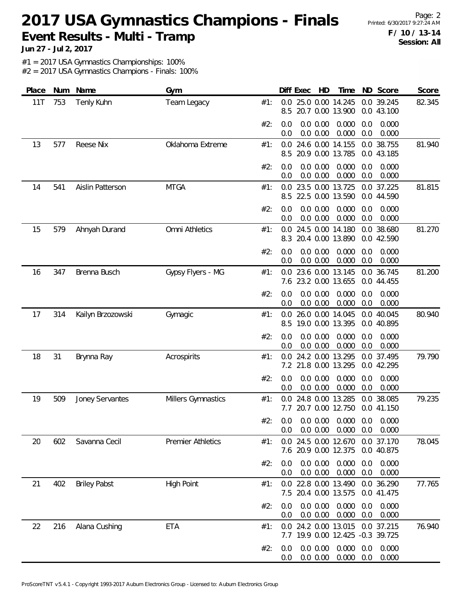Page: 2 **F / 10 / 13-14 Session: All**

**Jun 27 - Jul 2, 2017**

#1 = 2017 USA Gymnastics Championships: 100%

| Place | Num | Name                | Gym                      |     | Diff Exec      |                         | HD | Time                                                                   |            | ND Score                 | Score  |
|-------|-----|---------------------|--------------------------|-----|----------------|-------------------------|----|------------------------------------------------------------------------|------------|--------------------------|--------|
| 11T   | 753 | <b>Tenly Kuhn</b>   | Team Legacy              | #1: | 0.0<br>8.5     |                         |    | 25.0 0.00 14.245<br>20.7 0.00 13.900                                   |            | 0.0 39.245<br>0.0 43.100 | 82.345 |
|       |     |                     |                          | #2: | 0.0<br>0.0     | 0.0 0.00<br>0.0 0.00    |    | 0.000<br>0.000                                                         | 0.0<br>0.0 | 0.000<br>0.000           |        |
| 13    | 577 | Reese Nix           | Oklahoma Extreme         | #1: | 8.5            |                         |    | 0.0 24.6 0.00 14.155<br>20.9 0.00 13.785                               |            | 0.0 38.755<br>0.0 43.185 | 81.940 |
|       |     |                     |                          | #2: | 0.0<br>0.0     | 0.0 0.00<br>0.0 0.00    |    | 0.000<br>0.000                                                         | 0.0<br>0.0 | 0.000<br>0.000           |        |
| 14    | 541 | Aislin Patterson    | <b>MTGA</b>              | #1: | 0.0<br>8.5     |                         |    | 23.5 0.00 13.725<br>22.5 0.00 13.590                                   |            | 0.0 37.225<br>0.0 44.590 | 81.815 |
|       |     |                     |                          | #2: | 0.0<br>0.0     | 0.0 0.00<br>0.0 0.00    |    | 0.000<br>0.000                                                         | 0.0<br>0.0 | 0.000<br>0.000           |        |
| 15    | 579 | Ahnyah Durand       | Omni Athletics           | #1: | 0.0<br>8.3     |                         |    | 24.5 0.00 14.180<br>20.4 0.00 13.890                                   |            | 0.0 38.680<br>0.0 42.590 | 81.270 |
|       |     |                     |                          | #2: | 0.0<br>0.0     | $0.0\ 0.00$<br>0.0 0.00 |    | 0.000<br>0.000                                                         | 0.0<br>0.0 | 0.000<br>0.000           |        |
| 16    | 347 | Brenna Busch        | Gypsy Flyers - MG        | #1: | 0.0            |                         |    | 23.6 0.00 13.145<br>7.6 23.2 0.00 13.655                               |            | 0.0 36.745<br>0.0 44.455 | 81.200 |
|       |     |                     |                          | #2: | 0.0<br>0.0     | 0.0 0.00<br>0.0 0.00    |    | 0.000<br>0.000                                                         | 0.0<br>0.0 | 0.000<br>0.000           |        |
| 17    | 314 | Kailyn Brzozowski   | Gymagic                  | #1: | 0.0<br>8.5     |                         |    | 26.0 0.00 14.045<br>19.0 0.00 13.395                                   |            | 0.0 40.045<br>0.0 40.895 | 80.940 |
|       |     |                     |                          | #2: | 0.0<br>0.0     | 0.0 0.00<br>0.0 0.00    |    | 0.000<br>0.000                                                         | 0.0<br>0.0 | 0.000<br>0.000           |        |
| 18    | 31  | Brynna Ray          | Acrospirits              | #1: | 0.0            |                         |    | 24.2 0.00 13.295<br>7.2 21.8 0.00 13.295                               |            | 0.0 37.495<br>0.0 42.295 | 79.790 |
|       |     |                     |                          | #2: | 0.0<br>0.0     | 0.0 0.00<br>0.0 0.00    |    | 0.000<br>0.000                                                         | 0.0<br>0.0 | 0.000<br>0.000           |        |
| 19    | 509 | Joney Servantes     | Millers Gymnastics       | #1: | 0.0<br>7.7     |                         |    | 24.8 0.00 13.285<br>20.7 0.00 12.750                                   |            | 0.0 38.085<br>0.0 41.150 | 79.235 |
|       |     |                     |                          | #2: | 0.0            |                         |    | $0.0$ $0.0$ $0.00$ $0.000$ $0.0$ $0.000$<br>$0.0$ $0.00$ $0.000$ $0.0$ |            | 0.000                    |        |
| 20    | 602 | Savanna Cecil       | <b>Premier Athletics</b> | #1: |                |                         |    | 0.0 24.5 0.00 12.670 0.0 37.170<br>7.6 20.9 0.00 12.375                |            | 0.0 40.875               | 78.045 |
|       |     |                     |                          | #2: | 0.0<br>0.0     | 0.0 0.00<br>0.0 0.00    |    | 0.000<br>0.000                                                         | 0.0<br>0.0 | 0.000<br>0.000           |        |
| 21    | 402 | <b>Briley Pabst</b> | <b>High Point</b>        | #1: |                |                         |    | 0.0 22.8 0.00 13.490<br>7.5 20.4 0.00 13.575                           |            | 0.0 36.290<br>0.0 41.475 | 77.765 |
|       |     |                     |                          | #2: | 0.0<br>0.0     | 0.0 0.00<br>0.0 0.00    |    | 0.000<br>0.000                                                         | 0.0<br>0.0 | 0.000<br>0.000           |        |
| 22    | 216 | Alana Cushing       | ETA                      | #1: | 0.0            |                         |    | 24.2 0.00 13.015 0.0 37.215<br>7.7 19.9 0.00 12.425 -0.3 39.725        |            |                          | 76.940 |
|       |     |                     |                          | #2: | 0.0<br>$0.0\,$ | 0.0 0.00<br>0.0 0.00    |    | 0.000<br>$0.000 \quad 0.0$                                             | 0.0        | 0.000<br>0.000           |        |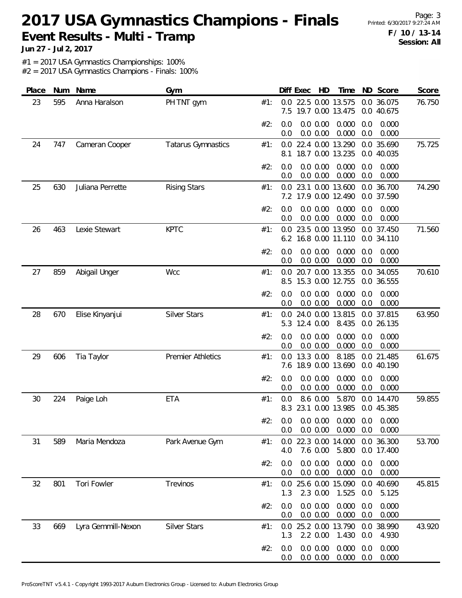Page: 3 **F / 10 / 13-14 Session: All**

**Jun 27 - Jul 2, 2017**

#1 = 2017 USA Gymnastics Championships: 100%

| Place | Num | Name               | Gym                       |     | Diff Exec  |                      | HD | Time                                                          |            | ND Score                 | Score  |
|-------|-----|--------------------|---------------------------|-----|------------|----------------------|----|---------------------------------------------------------------|------------|--------------------------|--------|
| 23    | 595 | Anna Haralson      | PH TNT gym                | #1: | 0.0<br>7.5 |                      |    | 22.5 0.00 13.575<br>19.7 0.00 13.475                          |            | 0.0 36.075<br>0.0 40.675 | 76.750 |
|       |     |                    |                           | #2: | 0.0<br>0.0 | 0.0 0.00<br>0.0 0.00 |    | 0.000<br>0.000                                                | 0.0<br>0.0 | 0.000<br>0.000           |        |
| 24    | 747 | Cameran Cooper     | <b>Tatarus Gymnastics</b> | #1: | 0.0<br>8.1 |                      |    | 22.4 0.00 13.290<br>18.7 0.00 13.235                          |            | 0.0 35.690<br>0.0 40.035 | 75.725 |
|       |     |                    |                           | #2: | 0.0<br>0.0 | 0.0 0.00<br>0.0 0.00 |    | 0.000<br>0.000                                                | 0.0<br>0.0 | 0.000<br>0.000           |        |
| 25    | 630 | Juliana Perrette   | <b>Rising Stars</b>       | #1: | 0.0        |                      |    | 23.1 0.00 13.600<br>7.2 17.9 0.00 12.490                      |            | 0.0 36.700<br>0.0 37.590 | 74.290 |
|       |     |                    |                           | #2: | 0.0<br>0.0 | 0.0 0.00<br>0.0 0.00 |    | 0.000<br>0.000                                                | 0.0<br>0.0 | 0.000<br>0.000           |        |
| 26    | 463 | Lexie Stewart      | <b>KPTC</b>               | #1: | 0.0<br>6.2 |                      |    | 23.5 0.00 13.950<br>16.8 0.00 11.110                          |            | 0.0 37.450<br>0.0 34.110 | 71.560 |
|       |     |                    |                           | #2: | 0.0<br>0.0 | 0.0 0.00<br>0.0 0.00 |    | 0.000<br>0.000                                                | 0.0<br>0.0 | 0.000<br>0.000           |        |
| 27    | 859 | Abigail Unger      | Wcc                       | #1: | 0.0<br>8.5 |                      |    | 20.7 0.00 13.355<br>15.3 0.00 12.755                          |            | 0.0 34.055<br>0.0 36.555 | 70.610 |
|       |     |                    |                           | #2: | 0.0<br>0.0 | 0.0 0.00<br>0.0 0.00 |    | 0.000<br>0.000                                                | 0.0<br>0.0 | 0.000<br>0.000           |        |
| 28    | 670 | Elise Kinyanjui    | <b>Silver Stars</b>       | #1: | 0.0<br>5.3 | 12.4 0.00            |    | 24.0 0.00 13.815<br>8.435                                     |            | 0.0 37.815<br>0.0 26.135 | 63.950 |
|       |     |                    |                           | #2: | 0.0<br>0.0 | 0.0 0.00<br>0.0 0.00 |    | 0.000<br>0.000                                                | 0.0<br>0.0 | 0.000<br>0.000           |        |
| 29    | 606 | Tia Taylor         | <b>Premier Athletics</b>  | #1: | 0.0<br>7.6 | 13.3 0.00            |    | 8.185<br>18.9 0.00 13.690                                     |            | 0.0 21.485<br>0.0 40.190 | 61.675 |
|       |     |                    |                           | #2: | 0.0<br>0.0 | 0.0 0.00<br>0.0 0.00 |    | 0.000<br>0.000                                                | 0.0<br>0.0 | 0.000<br>0.000           |        |
| 30    | 224 | Paige Loh          | <b>ETA</b>                | #1: | 0.0<br>8.3 | 8.6 0.00             |    | 5.870<br>23.1 0.00 13.985                                     |            | 0.0 14.470<br>0.0 45.385 | 59.855 |
|       |     |                    |                           | #2: | 0.0        | 0.0 0.00             |    | $0.0$ $0.0$ $0.00$ $0.000$ $0.0$ $0.000$<br>$0.000 \quad 0.0$ |            | 0.000                    |        |
| 31    | 589 | Maria Mendoza      | Park Avenue Gym           | #1: | 0.0<br>4.0 | 7.6 0.00             |    | 22.3 0.00 14.000<br>5.800                                     |            | 0.0 36.300<br>0.0 17.400 | 53.700 |
|       |     |                    |                           | #2: | 0.0<br>0.0 | 0.0 0.00<br>0.0 0.00 |    | 0.000<br>0.000                                                | 0.0<br>0.0 | 0.000<br>0.000           |        |
| 32    | 801 | Tori Fowler        | Trevinos                  | #1: | 1.3        | 2.3 0.00             |    | 0.0 25.6 0.00 15.090<br>1.525                                 | 0.0        | 0.0 40.690<br>5.125      | 45.815 |
|       |     |                    |                           | #2: | 0.0<br>0.0 | 0.0 0.00<br>0.0 0.00 |    | 0.000<br>0.000                                                | 0.0<br>0.0 | 0.000<br>0.000           |        |
| 33    | 669 | Lyra Gemmill-Nexon | <b>Silver Stars</b>       | #1: | 0.0<br>1.3 | 2.2 0.00             |    | 25.2 0.00 13.790<br>1.430                                     | 0.0        | 0.0 38.990<br>4.930      | 43.920 |
|       |     |                    |                           | #2: | 0.0<br>0.0 | 0.0 0.00<br>0.0 0.00 |    | 0.000<br>0.000                                                | 0.0<br>0.0 | 0.000<br>0.000           |        |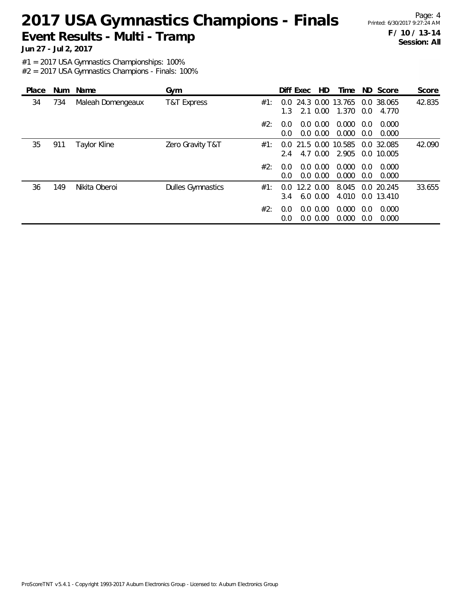Page: 4 **F / 10 / 13-14 Session: All**

**Jun 27 - Jul 2, 2017**

#1 = 2017 USA Gymnastics Championships: 100%

| Place |     | Num Name            | Gym                      |     |                      | Diff Exec | HD.                        | Time                      |            | ND Score                 | Score  |
|-------|-----|---------------------|--------------------------|-----|----------------------|-----------|----------------------------|---------------------------|------------|--------------------------|--------|
| 34    | 734 | Maleah Domengeaux   | T&T Express              | #1: | 0.0<br>1.3           |           | 2.1 0.00                   | 24.3 0.00 13.765<br>1.370 | 0.0        | 0.0 38.065<br>4.770      | 42.835 |
|       |     |                     |                          | #2: | 0.0<br>$0.0^{\circ}$ |           | $0.0\,0.00$<br>$0.0\,0.00$ | 0.000<br>0.000            | 0.0<br>0.0 | 0.000<br>0.000           |        |
| 35    | 911 | <b>Taylor Kline</b> | Zero Gravity T&T         | #1: | $0.0^-$<br>2.4       | 21.5 0.00 | 4.7 0.00                   | 10.585<br>2.905           |            | 0.0 32.085<br>0.0 10.005 | 42.090 |
|       |     |                     |                          | #2: | 0.0<br>0.0           |           | $0.0\,0.00$<br>0.0 0.00    | 0.000<br>0.000            | 0.0<br>0.0 | 0.000<br>0.000           |        |
| 36    | 149 | Nikita Oberoi       | <b>Dulles Gymnastics</b> | #1: | 0.0<br>3.4           | 12.2 0.00 | $6.0\,0.00$                | 8.045<br>4.010            |            | 0.0 20.245<br>0.0 13.410 | 33.655 |
|       |     |                     |                          | #2: | 0.0<br>0.0           |           | $0.0\,0.00$<br>$0.0\,0.00$ | 0.000<br>0.000            | 0.0<br>0.0 | 0.000<br>0.000           |        |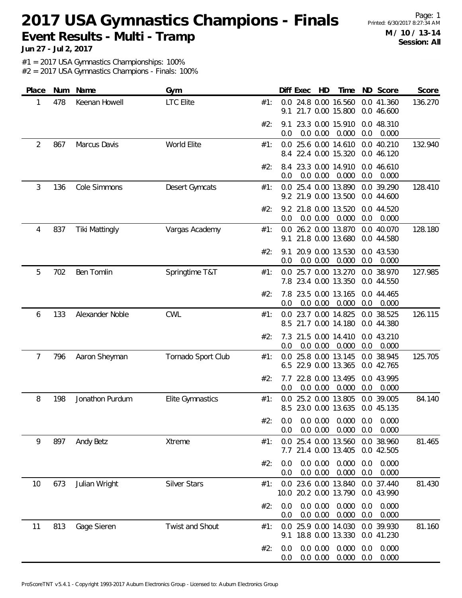Page: 1 **M / 10 / 13-14 Session: All**

**Jun 27 - Jul 2, 2017**

#1 = 2017 USA Gymnastics Championships: 100%

| Place | Num | Name                  | Gym                 |     |            | Diff Exec | HD                   | Time                                                                   |            | ND Score                 | Score   |
|-------|-----|-----------------------|---------------------|-----|------------|-----------|----------------------|------------------------------------------------------------------------|------------|--------------------------|---------|
| 1     | 478 | Keenan Howell         | <b>LTC Elite</b>    | #1: | 0.0<br>9.1 |           |                      | 24.8 0.00 16.560<br>21.7 0.00 15.800                                   |            | 0.0 41.360<br>0.0 46.600 | 136.270 |
|       |     |                       |                     | #2: | 9.1<br>0.0 |           | 0.0 0.00             | 23.3 0.00 15.910<br>0.000                                              | 0.0        | 0.0 48.310<br>0.000      |         |
| 2     | 867 | Marcus Davis          | World Elite         | #1: |            |           |                      | 0.0 25.6 0.00 14.610<br>8.4 22.4 0.00 15.320                           |            | 0.0 40.210<br>0.0 46.120 | 132.940 |
|       |     |                       |                     | #2: | 8.4<br>0.0 |           | 0.0 0.00             | 23.3 0.00 14.910<br>0.000                                              | 0.0        | 0.0 46.610<br>0.000      |         |
| 3     | 136 | Cole Simmons          | Desert Gymcats      | #1: | 0.0        |           |                      | 25.4 0.00 13.890<br>9.2 21.9 0.00 13.500                               |            | 0.0 39.290<br>0.0 44.600 | 128.410 |
|       |     |                       |                     | #2: | 9.2<br>0.0 |           | 0.0 0.00             | 21.8 0.00 13.520<br>0.000                                              | 0.0        | 0.0 44.520<br>0.000      |         |
| 4     | 837 | <b>Tiki Mattingly</b> | Vargas Academy      | #1: | 0.0<br>9.1 |           |                      | 26.2 0.00 13.870<br>21.8 0.00 13.680                                   |            | 0.0 40.070<br>0.0 44.580 | 128.180 |
|       |     |                       |                     | #2: | 9.1<br>0.0 |           | 0.0 0.00             | 20.9 0.00 13.530<br>0.000                                              | 0.0        | 0.0 43.530<br>0.000      |         |
| 5     | 702 | Ben Tomlin            | Springtime T&T      | #1: | 0.0        |           |                      | 25.7 0.00 13.270<br>7.8 23.4 0.00 13.350                               |            | 0.0 38.970<br>0.0 44.550 | 127.985 |
|       |     |                       |                     | #2: | 7.8<br>0.0 |           | 0.0 0.00             | 23.5 0.00 13.165<br>0.000                                              | 0.0        | 0.0 44.465<br>0.000      |         |
| 6     | 133 | Alexander Noble       | <b>CWL</b>          | #1: | 8.5        |           |                      | 0.0 23.7 0.00 14.825<br>21.7 0.00 14.180                               |            | 0.0 38.525<br>0.0 44.380 | 126.115 |
|       |     |                       |                     | #2: | 7.3<br>0.0 |           | 0.0 0.00             | 21.5 0.00 14.410<br>0.000                                              | 0.0        | 0.0 43.210<br>0.000      |         |
| 7     | 796 | Aaron Sheyman         | Tornado Sport Club  | #1: | 0.0<br>6.5 |           |                      | 25.8 0.00 13.145<br>22.9 0.00 13.365                                   |            | 0.0 38.945<br>0.0 42.765 | 125.705 |
|       |     |                       |                     | #2: | 7.7<br>0.0 |           | 0.0 0.00             | 22.8 0.00 13.495<br>0.000                                              | 0.0        | 0.0 43.995<br>0.000      |         |
| 8     | 198 | Jonathon Purdum       | Elite Gymnastics    | #1: | 0.0        |           |                      | 25.2 0.00 13.805<br>8.5 23.0 0.00 13.635                               |            | 0.0 39.005<br>0.0 45.135 | 84.140  |
|       |     |                       |                     | #2: | 0.0        |           |                      | $0.0$ $0.0$ $0.00$ $0.000$ $0.0$ $0.000$<br>$0.0$ $0.00$ $0.000$ $0.0$ |            | 0.000                    |         |
| 9     | 897 | Andy Betz             | Xtreme              | #1: |            |           |                      | 0.0 25.4 0.00 13.560<br>7.7 21.4 0.00 13.405                           |            | 0.0 38.960<br>0.0 42.505 | 81.465  |
|       |     |                       |                     | #2: | 0.0<br>0.0 |           | 0.0 0.00<br>0.0 0.00 | 0.000<br>0.000                                                         | 0.0<br>0.0 | 0.000<br>0.000           |         |
| 10    | 673 | Julian Wright         | <b>Silver Stars</b> | #1: |            |           |                      | 0.0 23.6 0.00 13.840<br>10.0 20.2 0.00 13.790                          |            | 0.0 37.440<br>0.0 43.990 | 81.430  |
|       |     |                       |                     | #2: | 0.0<br>0.0 |           | 0.0 0.00<br>0.0 0.00 | 0.000<br>0.000                                                         | 0.0<br>0.0 | 0.000<br>0.000           |         |
| 11    | 813 | Gage Sieren           | Twist and Shout     | #1: | 0.0        |           |                      | 25.9 0.00 14.030<br>9.1 18.8 0.00 13.330                               |            | 0.0 39.930<br>0.0 41.230 | 81.160  |
|       |     |                       |                     | #2: | 0.0<br>0.0 |           | 0.0 0.00<br>0.0 0.00 | 0.000<br>0.000                                                         | 0.0<br>0.0 | 0.000<br>0.000           |         |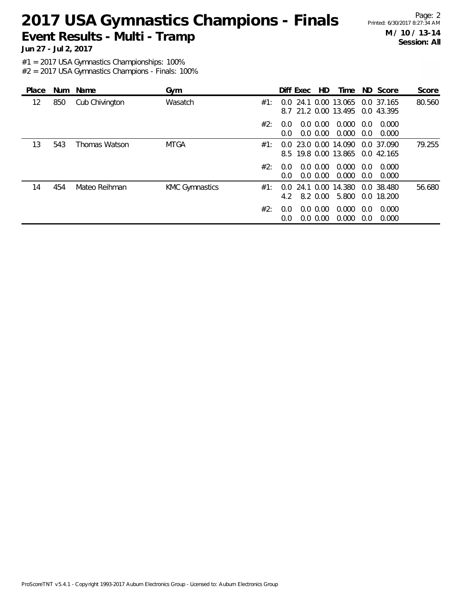Page: 2 **M / 10 / 13-14 Session: All**

**Jun 27 - Jul 2, 2017**

#1 = 2017 USA Gymnastics Championships: 100%

| Place |     | Num Name       | Gym                   |     |                      | Diff Exec | HD.                        | Time                                                |            | ND Score                 | Score  |
|-------|-----|----------------|-----------------------|-----|----------------------|-----------|----------------------------|-----------------------------------------------------|------------|--------------------------|--------|
| 12    | 850 | Cub Chivington | Wasatch               | #1: | 0.0                  |           |                            | 24.1 0.00 13.065<br>8.7 21.2 0.00 13.495            |            | 0.0 37.165<br>0.0 43.395 | 80.560 |
|       |     |                |                       | #2: | 0.0<br>$0.0^{\circ}$ |           | $0.0\,0.00$<br>$0.0\,0.00$ | 0.000<br>0.000                                      | 0.0<br>0.0 | 0.000<br>0.000           |        |
| 13    | 543 | Thomas Watson  | <b>MTGA</b>           | #1: | 0.0                  |           |                            | 23.0 0.00 14.090<br>8.5 19.8 0.00 13.865 0.0 42.165 |            | 0.0 37.090               | 79.255 |
|       |     |                |                       | #2: | 0.0<br>0.0           |           | $0.0\,0.00$<br>$0.0\,0.00$ | 0.000<br>0.000                                      | 0.0<br>0.0 | 0.000<br>0.000           |        |
| 14    | 454 | Mateo Reihman  | <b>KMC Gymnastics</b> | #1: | $0.0^{\circ}$<br>4.2 | 24.1      | 0.00<br>8.2 0.00           | 14.380<br>5.800                                     |            | 0.0 38.480<br>0.0 18.200 | 56.680 |
|       |     |                |                       | #2: | 0.0<br>0.0           |           | $0.0\,0.00$<br>$0.0\,0.00$ | 0.000<br>0.000                                      | 0.0<br>0.0 | 0.000<br>0.000           |        |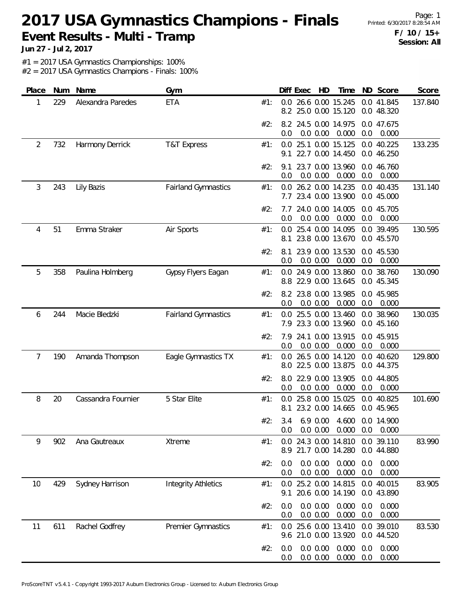Page: 1 **F / 10 / 15+ Session: All**

**Jun 27 - Jul 2, 2017**

#1 = 2017 USA Gymnastics Championships: 100%

| Place | Num | Name               | Gym                        |     | ND Score<br>Diff Exec<br>HD<br>Time                                                  | Score   |
|-------|-----|--------------------|----------------------------|-----|--------------------------------------------------------------------------------------|---------|
| 1     | 229 | Alexandra Paredes  | ETA                        | #1: | 26.6 0.00 15.245<br>0.0 41.845<br>0.0<br>25.0 0.00 15.120<br>8.2<br>0.0 48.320       | 137.840 |
|       |     |                    |                            | #2: | 8.2 24.5 0.00 14.975<br>0.0 47.675<br>0.0 0.00<br>0.000<br>0.0<br>0.0<br>0.000       |         |
| 2     | 732 | Harmony Derrick    | T&T Express                | #1: | 25.1 0.00 15.125<br>0.0 40.225<br>0.0<br>22.7 0.00 14.450<br>0.0 46.250<br>9.1       | 133.235 |
|       |     |                    |                            | #2: | 23.7 0.00 13.960<br>0.0 46.760<br>9.1<br>0.0 0.00<br>0.000<br>0.0<br>0.000<br>0.0    |         |
| 3     | 243 | Lily Bazis         | <b>Fairland Gymnastics</b> | #1: | 0.0 26.2 0.00 14.235<br>0.0 40.435<br>23.4 0.00 13.900<br>7.7<br>0.0 45.000          | 131.140 |
|       |     |                    |                            | #2: | 0.0 45.705<br>24.0 0.00 14.005<br>7.7<br>0.0 0.00<br>0.000<br>0.0<br>0.000<br>0.0    |         |
| 4     | 51  | Emma Straker       | Air Sports                 | #1: | 25.4 0.00 14.095<br>0.0 39.495<br>0.0<br>23.8 0.00 13.670<br>0.0 45.570<br>8.1       | 130.595 |
|       |     |                    |                            | #2: | 23.9 0.00 13.530<br>0.0 45.530<br>8.1<br>0.000<br>0.0 0.00<br>0.0<br>0.000<br>0.0    |         |
| 5     | 358 | Paulina Holmberg   | Gypsy Flyers Eagan         | #1: | 24.9 0.00 13.860<br>0.0 38.760<br>0.0<br>8.8 22.9 0.00 13.645<br>0.0 45.345          | 130.090 |
|       |     |                    |                            | #2: | 0.0 45.985<br>23.8 0.00 13.985<br>8.2<br>0.000<br>0.0<br>0.0 0.00<br>0.0<br>0.000    |         |
| 6     | 244 | Macie Bledzki      | <b>Fairland Gymnastics</b> | #1: | 25.5 0.00 13.460<br>0.0 38.960<br>0.0<br>23.3 0.00 13.960<br>0.0 45.160<br>7.9       | 130.035 |
|       |     |                    |                            | #2: | 24.1 0.00 13.915<br>0.0 45.915<br>7.9<br>0.000<br>0.0<br>0.0 0.00<br>0.0<br>0.000    |         |
| 7     | 190 | Amanda Thompson    | Eagle Gymnastics TX        | #1: | 26.5 0.00 14.120<br>0.0 40.620<br>0.0<br>22.5 0.00 13.875<br>0.0 44.375<br>8.0       | 129.800 |
|       |     |                    |                            | #2: | 22.9 0.00 13.905<br>0.0 44.805<br>8.0<br>0.000<br>0.0 0.00<br>0.0<br>0.000<br>0.0    |         |
| 8     | 20  | Cassandra Fournier | 5 Star Elite               | #1: | 25.8 0.00 15.025<br>0.0 40.825<br>0.0<br>23.2 0.00 14.665<br>0.0 45.965<br>8.1       | 101.690 |
|       |     |                    |                            | #2: | 3.4 6.9 0.00 4.600 0.0 14.900<br>0.000<br>$0.0\, 0.00$<br>0.0<br>0.000<br>0.0        |         |
| 9     | 902 | Ana Gautreaux      | Xtreme                     | #1: | 24.3 0.00 14.810 0.0 39.110<br>0.0<br>21.7 0.00 14.280<br>0.0 44.880<br>8.9          | 83.990  |
|       |     |                    |                            | #2: | 0.0 0.00<br>0.000<br>0.0<br>0.0<br>0.000<br>0.0 0.00<br>0.000<br>0.000<br>0.0<br>0.0 |         |
| 10    | 429 | Sydney Harrison    | <b>Integrity Athletics</b> | #1: | 0.0 25.2 0.00 14.815<br>0.0 40.015<br>20.6 0.00 14.190<br>0.0 43.890<br>9.1          | 83.905  |
|       |     |                    |                            | #2: | 0.0 0.00<br>0.000<br>0.000<br>0.0<br>0.0<br>0.0 0.00<br>0.000<br>0.000<br>0.0<br>0.0 |         |
| 11    | 611 | Rachel Godfrey     | Premier Gymnastics         | #1: | 25.6 0.00 13.410<br>0.0 39.010<br>0.0<br>9.6 21.0 0.00 13.920<br>0.0 44.520          | 83.530  |
|       |     |                    |                            | #2: | 0.0 0.00<br>0.000<br>0.000<br>0.0<br>0.0<br>0.000<br>0.000<br>0.0 0.00<br>0.0<br>0.0 |         |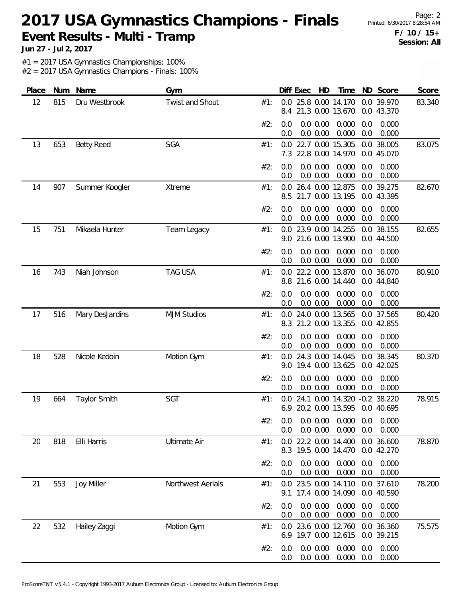Page: 2 **F / 10 / 15+ Session: All**

**Jun 27 - Jul 2, 2017**

#1 = 2017 USA Gymnastics Championships: 100%

| Place | Num | Name                | Gym                 |     |            | Diff Exec | HD                   | Time                                                 |            | ND Score                 | Score  |
|-------|-----|---------------------|---------------------|-----|------------|-----------|----------------------|------------------------------------------------------|------------|--------------------------|--------|
| 12    | 815 | Dru Westbrook       | Twist and Shout     | #1: | 0.0<br>8.4 |           |                      | 25.8 0.00 14.170<br>21.3 0.00 13.670                 |            | 0.0 39.970<br>0.0 43.370 | 83.340 |
|       |     |                     |                     | #2: | 0.0<br>0.0 |           | 0.0 0.00<br>0.0 0.00 | 0.000<br>0.000                                       | 0.0<br>0.0 | 0.000<br>0.000           |        |
| 13    | 653 | <b>Betty Reed</b>   | SGA                 | #1: | 0.0        |           |                      | 22.7 0.00 15.305<br>7.3 22.8 0.00 14.970             |            | 0.0 38.005<br>0.0 45.070 | 83.075 |
|       |     |                     |                     | #2: | 0.0<br>0.0 |           | 0.0 0.00<br>0.0 0.00 | 0.000<br>0.000                                       | 0.0<br>0.0 | 0.000<br>0.000           |        |
| 14    | 907 | Summer Koogler      | Xtreme              | #1: | 0.0<br>8.5 |           |                      | 26.4 0.00 12.875<br>21.7 0.00 13.195                 |            | 0.0 39.275<br>0.0 43.395 | 82.670 |
|       |     |                     |                     | #2: | 0.0<br>0.0 |           | 0.0 0.00<br>0.0 0.00 | 0.000<br>0.000                                       | 0.0<br>0.0 | 0.000<br>0.000           |        |
| 15    | 751 | Mikaela Hunter      | Team Legacy         | #1: | 0.0<br>9.0 |           |                      | 23.9 0.00 14.255<br>21.6 0.00 13.900                 |            | 0.0 38.155<br>0.0 44.500 | 82.655 |
|       |     |                     |                     | #2: | 0.0<br>0.0 |           | 0.0 0.00<br>0.0 0.00 | 0.000<br>0.000                                       | 0.0<br>0.0 | 0.000<br>0.000           |        |
| 16    | 743 | Niah Johnson        | <b>TAG USA</b>      | #1: | 0.0        |           |                      | 22.2 0.00 13.870<br>8.8 21.6 0.00 14.440             |            | 0.0 36.070<br>0.0 44.840 | 80.910 |
|       |     |                     |                     | #2: | 0.0<br>0.0 |           | 0.0 0.00<br>0.0 0.00 | 0.000<br>0.000                                       | 0.0<br>0.0 | 0.000<br>0.000           |        |
| 17    | 516 | Mary DesJardins     | <b>MJM Studios</b>  | #1: | 0.0<br>8.3 |           |                      | 24.0 0.00 13.565<br>21.2 0.00 13.355                 |            | 0.0 37.565<br>0.0 42.855 | 80.420 |
|       |     |                     |                     | #2: | 0.0<br>0.0 |           | 0.0 0.00<br>0.0 0.00 | 0.000<br>0.000                                       | 0.0<br>0.0 | 0.000<br>0.000           |        |
| 18    | 528 | Nicole Kedoin       | Motion Gym          | #1: | 0.0<br>9.0 |           |                      | 24.3 0.00 14.045<br>19.4 0.00 13.625                 |            | 0.0 38.345<br>0.0 42.025 | 80.370 |
|       |     |                     |                     | #2: | 0.0<br>0.0 |           | 0.0 0.00<br>0.0 0.00 | 0.000<br>0.000                                       | 0.0<br>0.0 | 0.000<br>0.000           |        |
| 19    | 664 | <b>Taylor Smith</b> | SGT                 | #1: | 0.0<br>6.9 |           |                      | 24.1 0.00 14.320 -0.2 38.220<br>20.2 0.00 13.595     |            | 0.0 40.695               | 78.915 |
|       |     |                     |                     | #2∙ | 0.0        |           |                      | 0.0 0.0 0.00 0.000 0.0 0.000<br>$0.0$ $0.00$ $0.000$ | 0.0        | 0.000                    |        |
| 20    | 818 | Elli Harris         | <b>Ultimate Air</b> | #1: |            |           |                      | 0.0 22.2 0.00 14.400<br>8.3 19.5 0.00 14.470         |            | 0.0 36.600<br>0.0 42.270 | 78.870 |
|       |     |                     |                     | #2: | 0.0<br>0.0 |           | 0.0 0.00<br>0.0 0.00 | 0.000<br>0.000                                       | 0.0<br>0.0 | 0.000<br>0.000           |        |
| 21    | 553 | Joy Miller          | Northwest Aerials   | #1: | 9.1        |           |                      | 0.0 23.5 0.00 14.110<br>17.4 0.00 14.090             |            | 0.0 37.610<br>0.0 40.590 | 78.200 |
|       |     |                     |                     | #2: | 0.0<br>0.0 |           | 0.0 0.00<br>0.0 0.00 | 0.000<br>0.000                                       | 0.0<br>0.0 | 0.000<br>0.000           |        |
| 22    | 532 | Hailey Zaggi        | Motion Gym          | #1: | 0.0        |           |                      | 23.6 0.00 12.760 0.0 36.360<br>6.9 19.7 0.00 12.615  |            | 0.0 39.215               | 75.575 |
|       |     |                     |                     | #2: | 0.0<br>0.0 |           | 0.0 0.00<br>0.0 0.00 | 0.000<br>0.000                                       | 0.0<br>0.0 | 0.000<br>0.000           |        |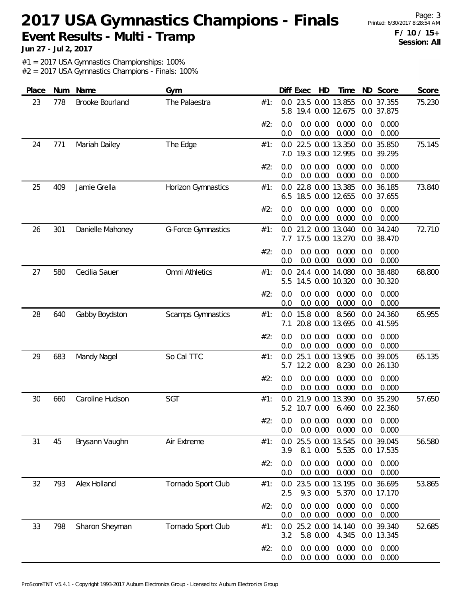Page: 3 **F / 10 / 15+ Session: All**

**Jun 27 - Jul 2, 2017**

#1 = 2017 USA Gymnastics Championships: 100%

| Place | Num | Name             | Gym                       |     | Diff Exec  |               | HD                   | Time                                              |            | ND Score                 | Score  |
|-------|-----|------------------|---------------------------|-----|------------|---------------|----------------------|---------------------------------------------------|------------|--------------------------|--------|
| 23    | 778 | Brooke Bourland  | The Palaestra             | #1: | 0.0<br>5.8 |               |                      | 23.5 0.00 13.855<br>19.4 0.00 12.675              |            | 0.0 37.355<br>0.0 37.875 | 75.230 |
|       |     |                  |                           | #2: | 0.0<br>0.0 |               | 0.0 0.00<br>0.0 0.00 | 0.000<br>0.000                                    | 0.0<br>0.0 | 0.000<br>0.000           |        |
| 24    | 771 | Mariah Dailey    | The Edge                  | #1: | 0.0<br>7.0 |               |                      | 22.5 0.00 13.350<br>19.3 0.00 12.995              |            | 0.0 35.850<br>0.0 39.295 | 75.145 |
|       |     |                  |                           | #2: | 0.0<br>0.0 |               | 0.0 0.00<br>0.0 0.00 | 0.000<br>0.000                                    | 0.0<br>0.0 | 0.000<br>0.000           |        |
| 25    | 409 | Jamie Grella     | Horizon Gymnastics        | #1: | 0.0<br>6.5 |               |                      | 22.8 0.00 13.385<br>18.5 0.00 12.655              | 0.0        | 0.0 36.185<br>37.655     | 73.840 |
|       |     |                  |                           | #2: | 0.0<br>0.0 |               | 0.0 0.00<br>0.0 0.00 | 0.000<br>0.000                                    | 0.0<br>0.0 | 0.000<br>0.000           |        |
| 26    | 301 | Danielle Mahoney | <b>G-Force Gymnastics</b> | #1: | 0.0<br>7.7 |               |                      | 21.2 0.00 13.040<br>17.5 0.00 13.270              |            | 0.0 34.240<br>0.0 38.470 | 72.710 |
|       |     |                  |                           | #2: | 0.0<br>0.0 |               | 0.0 0.00<br>0.0 0.00 | 0.000<br>0.000                                    | 0.0<br>0.0 | 0.000<br>0.000           |        |
| 27    | 580 | Cecilia Sauer    | Omni Athletics            | #1: | 0.0<br>5.5 |               |                      | 24.4 0.00 14.080<br>14.5 0.00 10.320              |            | 0.0 38.480<br>0.0 30.320 | 68.800 |
|       |     |                  |                           | #2: | 0.0<br>0.0 |               | 0.0 0.00<br>0.0 0.00 | 0.000<br>0.000                                    | 0.0<br>0.0 | 0.000<br>0.000           |        |
| 28    | 640 | Gabby Boydston   | Scamps Gymnastics         | #1: | 0.0<br>7.1 | 15.8 0.00     |                      | 8.560<br>20.8 0.00 13.695                         |            | 0.0 24.360<br>0.0 41.595 | 65.955 |
|       |     |                  |                           | #2: | 0.0<br>0.0 |               | 0.0 0.00<br>0.0 0.00 | 0.000<br>0.000                                    | 0.0<br>0.0 | 0.000<br>0.000           |        |
| 29    | 683 | Mandy Nagel      | So Cal TTC                | #1: | 0.0<br>5.7 | 12.2 0.00     |                      | 25.1 0.00 13.905<br>8.230                         |            | 0.0 39.005<br>0.0 26.130 | 65.135 |
|       |     |                  |                           | #2: | 0.0<br>0.0 |               | 0.0 0.00<br>0.0 0.00 | 0.000<br>0.000                                    | 0.0<br>0.0 | 0.000<br>0.000           |        |
| 30    | 660 | Caroline Hudson  | <b>SGT</b>                | #1: | 0.0        | 5.2 10.7 0.00 | 21.9 0.00            | 13.390<br>6.460                                   |            | 0.0 35.290<br>0.0 22.360 | 57.650 |
|       |     |                  |                           | #2∶ | 0.0        |               | 0.0 0.00             | $0.0$ $0.0$ $0.00$ $0.000$ $0.0$ $0.000$<br>0.000 | 0.0        | 0.000                    |        |
| 31    | 45  | Brysann Vaughn   | Air Extreme               | #1: | 0.0<br>3.9 |               | 8.1 0.00             | 25.5 0.00 13.545<br>5.535                         |            | 0.0 39.045<br>0.0 17.535 | 56.580 |
|       |     |                  |                           | #2: | 0.0<br>0.0 |               | 0.0 0.00<br>0.0 0.00 | 0.000<br>0.000                                    | 0.0<br>0.0 | 0.000<br>0.000           |        |
| 32    | 793 | Alex Holland     | Tornado Sport Club        | #1: | 0.0<br>2.5 |               | 9.3 0.00             | 23.5 0.00 13.195<br>5.370                         |            | 0.0 36.695<br>0.0 17.170 | 53.865 |
|       |     |                  |                           | #2: | 0.0<br>0.0 |               | 0.0 0.00<br>0.0 0.00 | 0.000<br>0.000                                    | 0.0<br>0.0 | 0.000<br>0.000           |        |
| 33    | 798 | Sharon Sheyman   | Tornado Sport Club        | #1: | 0.0<br>3.2 |               | 5.8 0.00             | 25.2 0.00 14.140<br>4.345                         |            | 0.0 39.340<br>0.0 13.345 | 52.685 |
|       |     |                  |                           | #2: | 0.0<br>0.0 |               | 0.0 0.00<br>0.0 0.00 | 0.000<br>0.000                                    | 0.0<br>0.0 | 0.000<br>0.000           |        |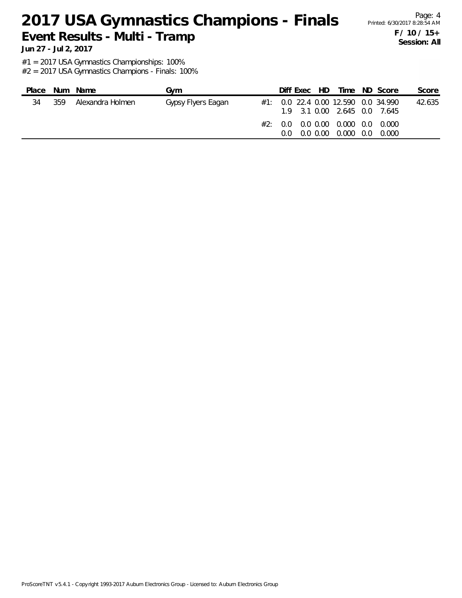Page: 4 **F / 10 / 15+ Session: All**

**Jun 27 - Jul 2, 2017**

#1 = 2017 USA Gymnastics Championships: 100%

| Place |     | Num Name         | Gvm                | Diff Exec HD |  |                                                                                                                                                                | Time ND Score | Score  |
|-------|-----|------------------|--------------------|--------------|--|----------------------------------------------------------------------------------------------------------------------------------------------------------------|---------------|--------|
| 34    | 359 | Alexandra Holmen | Gypsy Flyers Eagan |              |  | $\#1$ : 0.0 22.4 0.00 12.590 0.0 34.990<br>19 31 0.00 2.645 0.0 7.645<br>#2: 0.0 0.0 0.00 0.000 0.00 0.000<br>$0.0 \quad 0.0 \quad 0.00 \quad 0.000 \quad 0.0$ | -0.000        | 42.635 |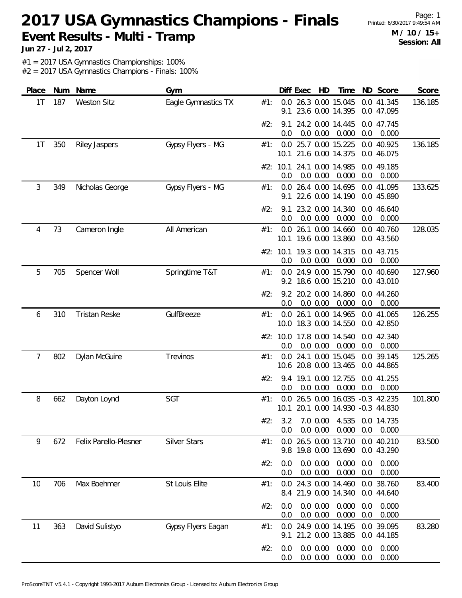Page: 1 **M / 10 / 15+ Session: All**

**Jun 27 - Jul 2, 2017**

#1 = 2017 USA Gymnastics Championships: 100%

| Place | Num | Name                  | Gym                 |     |             | Diff Exec | HD                   | Time                                                         |            | ND Score                 | Score   |
|-------|-----|-----------------------|---------------------|-----|-------------|-----------|----------------------|--------------------------------------------------------------|------------|--------------------------|---------|
| 1T    | 187 | <b>Weston Sitz</b>    | Eagle Gymnastics TX | #1: | 0.0<br>9.1  |           |                      | 26.3 0.00 15.045<br>23.6 0.00 14.395                         |            | 0.0 41.345<br>0.0 47.095 | 136.185 |
|       |     |                       |                     | #2: | 9.1<br>0.0  |           | 0.0 0.00             | 24.2 0.00 14.445<br>0.000                                    | 0.0        | 0.0 47.745<br>0.000      |         |
| 1T    | 350 | <b>Riley Jaspers</b>  | Gypsy Flyers - MG   | #1: | 0.0         |           |                      | 25.7 0.00 15.225<br>10.1 21.6 0.00 14.375                    |            | 0.0 40.925<br>0.0 46.075 | 136.185 |
|       |     |                       |                     |     | 0.0         |           | 0.0 0.00             | #2: 10.1 24.1 0.00 14.985<br>0.000                           | 0.0        | 0.0 49.185<br>0.000      |         |
| 3     | 349 | Nicholas George       | Gypsy Flyers - MG   | #1: | 9.1         |           |                      | 0.0 26.4 0.00 14.695<br>22.6 0.00 14.190                     |            | 0.0 41.095<br>0.0 45.890 | 133.625 |
|       |     |                       |                     | #2: | 9.1<br>0.0  |           | 0.0 0.00             | 23.2 0.00 14.340<br>0.000                                    | 0.0        | 0.0 46.640<br>0.000      |         |
| 4     | 73  | Cameron Ingle         | All American        | #1: | 0.0         |           |                      | 26.1 0.00 14.660<br>10.1 19.6 0.00 13.860                    |            | 0.0 40.760<br>0.0 43.560 | 128.035 |
|       |     |                       |                     |     | 0.0         |           | 0.0 0.00             | #2: 10.1 19.3 0.00 14.315<br>0.000                           | 0.0        | 0.0 43.715<br>0.000      |         |
| 5     | 705 | Spencer Woll          | Springtime T&T      | #1: | 0.0         |           |                      | 24.9 0.00 15.790<br>9.2 18.6 0.00 15.210                     |            | 0.0 40.690<br>0.0 43.010 | 127.960 |
|       |     |                       |                     | #2: | 0.0         |           | 0.0 0.00             | 9.2 20.2 0.00 14.860<br>0.000                                | 0.0        | 0.0 44.260<br>0.000      |         |
| 6     | 310 | <b>Tristan Reske</b>  | GulfBreeze          | #1: |             |           |                      | 0.0 26.1 0.00 14.965<br>10.0 18.3 0.00 14.550                |            | 0.0 41.065<br>0.0 42.850 | 126.255 |
|       |     |                       |                     |     | 0.0         |           | 0.0 0.00             | #2: 10.0 17.8 0.00 14.540<br>0.000                           | 0.0        | 0.0 42.340<br>0.000      |         |
| 7     | 802 | Dylan McGuire         | Trevinos            | #1: | 0.0         |           |                      | 24.1 0.00 15.045<br>10.6 20.8 0.00 13.465                    |            | 0.0 39.145<br>0.0 44.865 | 125.265 |
|       |     |                       |                     | #2: | 0.0         |           | 0.0 0.00             | 9.4 19.1 0.00 12.755<br>0.000                                | 0.0        | 0.0 41.255<br>0.000      |         |
| 8     | 662 | Dayton Loynd          | SGT                 | #1: | 0.0<br>10.1 |           |                      | 26.5 0.00 16.035 -0.3 42.235<br>20.1 0.00 14.930 -0.3 44.830 |            |                          | 101.800 |
|       |     |                       |                     | #2: | 0.0         |           | $0.0\, 0.00$         | 3.2 7.0 0.00 4.535 0.0 14.735<br>0.000                       | 0.0        | 0.000                    |         |
| 9     | 672 | Felix Parello-Plesner | <b>Silver Stars</b> | #1: |             |           |                      | 0.0 26.5 0.00 13.710 0.0 40.210<br>9.8 19.8 0.00 13.690      |            | 0.0 43.290               | 83.500  |
|       |     |                       |                     | #2: | 0.0<br>0.0  |           | 0.0 0.00<br>0.0 0.00 | 0.000<br>0.000                                               | 0.0<br>0.0 | 0.000<br>0.000           |         |
| 10    | 706 | Max Boehmer           | St Louis Elite      | #1: |             |           |                      | 0.0 24.3 0.00 14.460<br>8.4 21.9 0.00 14.340                 |            | 0.0 38.760<br>0.0 44.640 | 83.400  |
|       |     |                       |                     | #2: | 0.0<br>0.0  |           | 0.0 0.00<br>0.0 0.00 | 0.000<br>0.000                                               | 0.0<br>0.0 | 0.000<br>0.000           |         |
| 11    | 363 | David Sulistyo        | Gypsy Flyers Eagan  | #1: | 0.0<br>9.1  |           |                      | 24.9 0.00 14.195<br>21.2 0.00 13.885                         |            | 0.0 39.095<br>0.0 44.185 | 83.280  |
|       |     |                       |                     | #2: | 0.0<br>0.0  |           | 0.0 0.00<br>0.0 0.00 | 0.000<br>0.000                                               | 0.0<br>0.0 | 0.000<br>0.000           |         |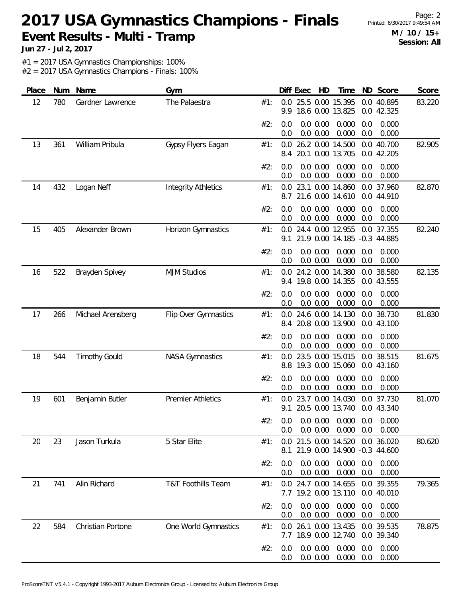Page: 2 **M / 10 / 15+ Session: All**

**Jun 27 - Jul 2, 2017**

#1 = 2017 USA Gymnastics Championships: 100%

| Place | Num | Name                 | Gym                        |     |            | Diff Exec | HD                   | Time                                                                   |            | ND Score                 | Score  |
|-------|-----|----------------------|----------------------------|-----|------------|-----------|----------------------|------------------------------------------------------------------------|------------|--------------------------|--------|
| 12    | 780 | Gardner Lawrence     | The Palaestra              | #1: | 0.0<br>9.9 |           |                      | 25.5 0.00 15.395<br>18.6 0.00 13.825                                   |            | 0.0 40.895<br>0.0 42.325 | 83.220 |
|       |     |                      |                            | #2: | 0.0<br>0.0 |           | 0.0 0.00<br>0.0 0.00 | 0.000<br>0.000                                                         | 0.0<br>0.0 | 0.000<br>0.000           |        |
| 13    | 361 | William Pribula      | Gypsy Flyers Eagan         | #1: | 0.0<br>8.4 |           |                      | 26.2 0.00 14.500<br>20.1 0.00 13.705                                   |            | 0.0 40.700<br>0.0 42.205 | 82.905 |
|       |     |                      |                            | #2: | 0.0<br>0.0 |           | 0.0 0.00<br>0.0 0.00 | 0.000<br>0.000                                                         | 0.0<br>0.0 | 0.000<br>0.000           |        |
| 14    | 432 | Logan Neff           | <b>Integrity Athletics</b> | #1: | 0.0<br>8.7 |           |                      | 23.1 0.00 14.860<br>21.6 0.00 14.610                                   |            | 0.0 37.960<br>0.0 44.910 | 82.870 |
|       |     |                      |                            | #2: | 0.0<br>0.0 |           | 0.0 0.00<br>0.0 0.00 | 0.000<br>0.000                                                         | 0.0<br>0.0 | 0.000<br>0.000           |        |
| 15    | 405 | Alexander Brown      | Horizon Gymnastics         | #1: | 0.0<br>9.1 |           |                      | 24.4 0.00 12.955<br>21.9 0.00 14.185 -0.3 44.885                       |            | 0.0 37.355               | 82.240 |
|       |     |                      |                            | #2: | 0.0<br>0.0 |           | 0.0 0.00<br>0.0 0.00 | 0.000<br>0.000                                                         | 0.0<br>0.0 | 0.000<br>0.000           |        |
| 16    | 522 | Brayden Spivey       | <b>MJM Studios</b>         | #1: | 0.0<br>9.4 |           |                      | 24.2 0.00 14.380<br>19.8 0.00 14.355                                   |            | 0.0 38.580<br>0.0 43.555 | 82.135 |
|       |     |                      |                            | #2: | 0.0<br>0.0 |           | 0.0 0.00<br>0.0 0.00 | 0.000<br>0.000                                                         | 0.0<br>0.0 | 0.000<br>0.000           |        |
| 17    | 266 | Michael Arensberg    | Flip Over Gymnastics       | #1: | 0.0<br>8.4 |           |                      | 24.6 0.00 14.130<br>20.8 0.00 13.900                                   |            | 0.0 38.730<br>0.0 43.100 | 81.830 |
|       |     |                      |                            | #2: | 0.0<br>0.0 |           | 0.0 0.00<br>0.0 0.00 | 0.000<br>0.000                                                         | 0.0<br>0.0 | 0.000<br>0.000           |        |
| 18    | 544 | <b>Timothy Gould</b> | <b>NASA Gymnastics</b>     | #1: | 0.0<br>8.8 |           |                      | 23.5 0.00 15.015<br>19.3 0.00 15.060                                   |            | 0.0 38.515<br>0.0 43.160 | 81.675 |
|       |     |                      |                            | #2: | 0.0<br>0.0 |           | 0.0 0.00<br>0.0 0.00 | 0.000<br>0.000                                                         | 0.0<br>0.0 | 0.000<br>0.000           |        |
| 19    | 601 | Benjamin Butler      | <b>Premier Athletics</b>   | #1: | 0.0<br>9.1 |           |                      | 23.7 0.00 14.030<br>20.5 0.00 13.740                                   |            | 0.0 37.730<br>0.0 43.340 | 81.070 |
|       |     |                      |                            | #2۰ | 0.0        |           |                      | $0.0$ $0.0$ $0.00$ $0.000$ $0.0$ $0.000$<br>$0.0$ $0.00$ $0.000$ $0.0$ |            | 0.000                    |        |
| 20    | 23  | Jason Turkula        | 5 Star Elite               | #1: | 8.1        |           |                      | 0.0 21.5 0.00 14.520 0.0 36.020<br>21.9 0.00 14.900 -0.3 44.600        |            |                          | 80.620 |
|       |     |                      |                            | #2: | 0.0<br>0.0 |           | 0.0 0.00<br>0.0 0.00 | 0.000<br>0.000                                                         | 0.0<br>0.0 | 0.000<br>0.000           |        |
| 21    | 741 | Alin Richard         | T&T Foothills Team         | #1: |            |           |                      | 0.0 24.7 0.00 14.655<br>7.7 19.2 0.00 13.110                           |            | 0.0 39.355<br>0.0 40.010 | 79.365 |
|       |     |                      |                            | #2: | 0.0<br>0.0 |           | 0.0 0.00<br>0.0 0.00 | 0.000<br>0.000                                                         | 0.0<br>0.0 | 0.000<br>0.000           |        |
| 22    | 584 | Christian Portone    | One World Gymnastics       | #1: | 0.0        |           |                      | 26.1 0.00 13.435<br>7.7 18.9 0.00 12.740                               |            | 0.0 39.535<br>0.0 39.340 | 78.875 |
|       |     |                      |                            | #2: | 0.0<br>0.0 |           | 0.0 0.00<br>0.0 0.00 | 0.000<br>0.000                                                         | 0.0<br>0.0 | 0.000<br>0.000           |        |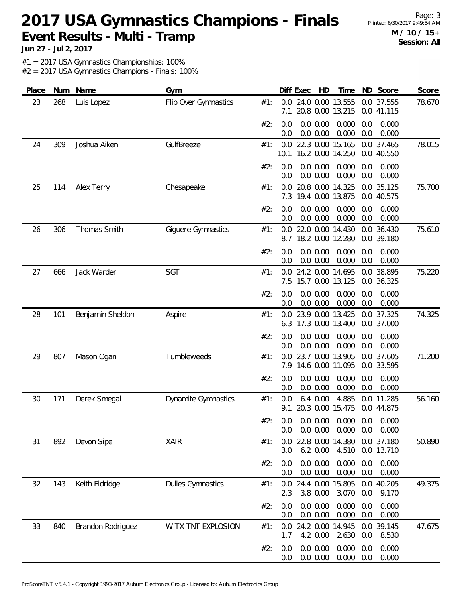Page: 3 **M / 10 / 15+ Session: All**

**Jun 27 - Jul 2, 2017**

#1 = 2017 USA Gymnastics Championships: 100%

| Place | Num | Name              | Gym                        |     |            | Diff Exec | HD                   | Time                                                |            | ND Score                 | Score  |
|-------|-----|-------------------|----------------------------|-----|------------|-----------|----------------------|-----------------------------------------------------|------------|--------------------------|--------|
| 23    | 268 | Luis Lopez        | Flip Over Gymnastics       | #1: | 0.0<br>7.1 |           |                      | 24.0 0.00 13.555<br>20.8 0.00 13.215                |            | 0.0 37.555<br>0.0 41.115 | 78.670 |
|       |     |                   |                            | #2: | 0.0<br>0.0 |           | 0.0 0.00<br>0.0 0.00 | 0.000<br>0.000                                      | 0.0<br>0.0 | 0.000<br>0.000           |        |
| 24    | 309 | Joshua Aiken      | GulfBreeze                 | #1: | 10.1       |           |                      | 0.0 22.3 0.00 15.165<br>16.2 0.00 14.250            |            | 0.0 37.465<br>0.0 40.550 | 78.015 |
|       |     |                   |                            | #2: | 0.0<br>0.0 |           | 0.0 0.00<br>0.0 0.00 | 0.000<br>0.000                                      | 0.0<br>0.0 | 0.000<br>0.000           |        |
| 25    | 114 | Alex Terry        | Chesapeake                 | #1: | 0.0<br>7.3 |           |                      | 20.8 0.00 14.325<br>19.4 0.00 13.875                | 0.0        | 0.0 35.125<br>40.575     | 75.700 |
|       |     |                   |                            | #2: | 0.0<br>0.0 |           | 0.0 0.00<br>0.0 0.00 | 0.000<br>0.000                                      | 0.0<br>0.0 | 0.000<br>0.000           |        |
| 26    | 306 | Thomas Smith      | Giguere Gymnastics         | #1: | 0.0<br>8.7 |           |                      | 22.0 0.00 14.430<br>18.2 0.00 12.280                |            | 0.0 36.430<br>0.0 39.180 | 75.610 |
|       |     |                   |                            | #2: | 0.0<br>0.0 |           | 0.0 0.00<br>0.0 0.00 | 0.000<br>0.000                                      | 0.0<br>0.0 | 0.000<br>0.000           |        |
| 27    | 666 | Jack Warder       | SGT                        | #1: | 0.0<br>7.5 |           |                      | 24.2 0.00 14.695<br>15.7 0.00 13.125                |            | 0.0 38.895<br>0.0 36.325 | 75.220 |
|       |     |                   |                            | #2: | 0.0<br>0.0 |           | 0.0 0.00<br>0.0 0.00 | 0.000<br>0.000                                      | 0.0<br>0.0 | 0.000<br>0.000           |        |
| 28    | 101 | Benjamin Sheldon  | Aspire                     | #1: | 0.0<br>6.3 |           |                      | 23.9 0.00 13.425<br>17.3 0.00 13.400                |            | 0.0 37.325<br>0.0 37.000 | 74.325 |
|       |     |                   |                            | #2: | 0.0<br>0.0 |           | 0.0 0.00<br>0.0 0.00 | 0.000<br>0.000                                      | 0.0<br>0.0 | 0.000<br>0.000           |        |
| 29    | 807 | Mason Ogan        | Tumbleweeds                | #1: | 0.0<br>7.9 |           |                      | 23.7 0.00 13.905<br>14.6 0.00 11.095                |            | 0.0 37.605<br>0.0 33.595 | 71.200 |
|       |     |                   |                            | #2: | 0.0<br>0.0 |           | 0.0 0.00<br>0.0 0.00 | 0.000<br>0.000                                      | 0.0<br>0.0 | 0.000<br>0.000           |        |
| 30    | 171 | Derek Smegal      | <b>Dynamite Gymnastics</b> | #1: | 0.0<br>9.1 |           | $6.4\;0.00$          | 4.885<br>20.3 0.00 15.475                           |            | 0.0 11.285<br>0.0 44.875 | 56.160 |
|       |     |                   |                            | #2: | 0.0        |           | 0.0 0.00             | $0.0$ 0.0 0.00 0.000 0.0 0.000<br>$0.000 \quad 0.0$ |            | 0.000                    |        |
| 31    | 892 | Devon Sipe        | XAIR                       | #1: | 0.0<br>3.0 |           | 6.2 0.00             | 22.8 0.00 14.380<br>4.510                           |            | 0.0 37.180<br>0.0 13.710 | 50.890 |
|       |     |                   |                            | #2: | 0.0<br>0.0 |           | 0.0 0.00<br>0.0 0.00 | 0.000<br>0.000                                      | 0.0<br>0.0 | 0.000<br>0.000           |        |
| 32    | 143 | Keith Eldridge    | <b>Dulles Gymnastics</b>   | #1: | 2.3        |           | 3.8 0.00             | 0.0 24.4 0.00 15.805<br>3.070                       | 0.0        | 0.0 40.205<br>9.170      | 49.375 |
|       |     |                   |                            | #2: | 0.0<br>0.0 |           | 0.0 0.00<br>0.0 0.00 | 0.000<br>0.000                                      | 0.0<br>0.0 | 0.000<br>0.000           |        |
| 33    | 840 | Brandon Rodriguez | W TX TNT EXPLOSION         | #1: | 0.0<br>1.7 |           | 4.2 0.00             | 24.2 0.00 14.945<br>2.630                           | 0.0        | 0.0 39.145<br>8.530      | 47.675 |
|       |     |                   |                            | #2: | 0.0<br>0.0 |           | 0.0 0.00<br>0.0 0.00 | 0.000<br>0.000                                      | 0.0<br>0.0 | 0.000<br>0.000           |        |